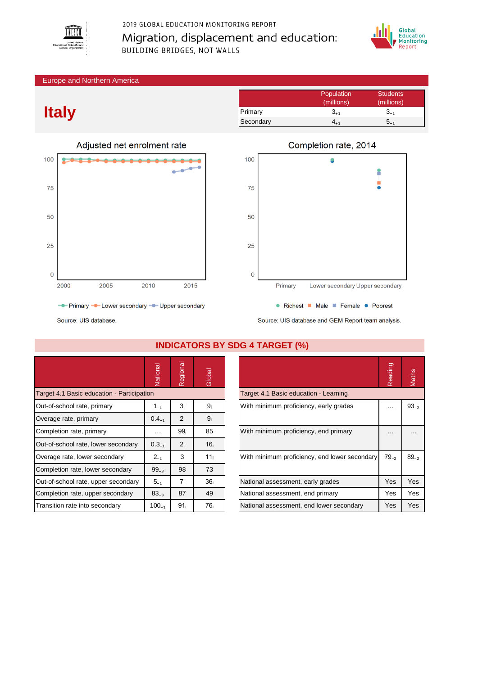

# 2019 GLOBAL EDUCATION MONITORING REPORT Migration, displacement and education: BUILDING BRIDGES, NOT WALLS



#### Europe and Northern America

# **Italy**



|           | Population<br>(millions) | <b>Students</b><br>(millions) |
|-----------|--------------------------|-------------------------------|
| Primary   | $3_{+1}$                 | $3_{-1}$                      |
| Secondary |                          | <b>D_1</b>                    |



Source: UIS database and GEM Report team analysis.

Source: UIS database.

|                                            | Vational                                                                               | Regional        | Global          |                                               | Reading    | Maths     |
|--------------------------------------------|----------------------------------------------------------------------------------------|-----------------|-----------------|-----------------------------------------------|------------|-----------|
| Target 4.1 Basic education - Participation |                                                                                        |                 |                 | Target 4.1 Basic education - Learning         |            |           |
| Out-of-school rate, primary                | 3 <sub>i</sub><br>With minimum proficiency, early grades<br>9 <sub>i</sub><br>$1_{-1}$ |                 | $\cdots$        | $93_{-2}$                                     |            |           |
| Overage rate, primary                      | $0.4_{-1}$                                                                             | 2 <sub>i</sub>  | 9 <sub>i</sub>  |                                               |            |           |
| Completion rate, primary                   | $\cdots$                                                                               | 99 <sub>i</sub> | 85              | With minimum proficiency, end primary         | $\cdots$   | $\cdots$  |
| Out-of-school rate, lower secondary        | $0.3_{-1}$                                                                             | 2 <sub>i</sub>  | 16 <sub>i</sub> |                                               |            |           |
| Overage rate, lower secondary              | $2_{-1}$                                                                               | 3               | 11 <sub>i</sub> | With minimum proficiency, end lower secondary | $79_{-2}$  | $89_{-2}$ |
| Completion rate, lower secondary           | $99_{-3}$                                                                              | 98              | 73              |                                               |            |           |
| Out-of-school rate, upper secondary        | $5 - 1$                                                                                | 7 <sub>i</sub>  | 36 <sub>i</sub> | National assessment, early grades             | Yes        | Yes       |
| Completion rate, upper secondary           | $83_{-3}$                                                                              | 87              | 49              | National assessment, end primary              | Yes        | Yes       |
| Transition rate into secondary             | $100_{-1}$                                                                             | 91 <sub>i</sub> | 76 i            | National assessment, end lower secondary      | <b>Yes</b> | Yes       |

### **INDICATORS BY SDG 4 TARGET (%)**

|                                               | Reading<br>$79_{-2}$<br>Yes<br>Yes |           |
|-----------------------------------------------|------------------------------------|-----------|
| Target 4.1 Basic education - Learning         |                                    |           |
| With minimum proficiency, early grades        |                                    | $93_{-2}$ |
| With minimum proficiency, end primary         |                                    |           |
| With minimum proficiency, end lower secondary |                                    | $89_{-2}$ |
| National assessment, early grades             |                                    | Yes       |
| National assessment, end primary              |                                    | Yes       |
| National assessment, end lower secondary      | Yes                                | Yes       |